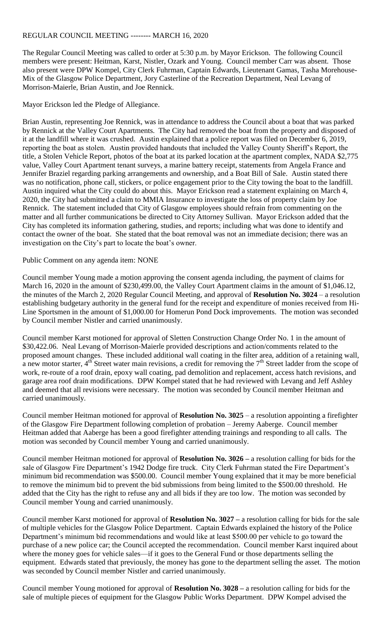## REGULAR COUNCIL MEETING -------- MARCH 16, 2020

The Regular Council Meeting was called to order at 5:30 p.m. by Mayor Erickson. The following Council members were present: Heitman, Karst, Nistler, Ozark and Young. Council member Carr was absent. Those also present were DPW Kompel, City Clerk Fuhrman, Captain Edwards, Lieutenant Gamas, Tasha Morehouse-Mix of the Glasgow Police Department, Jory Casterline of the Recreation Department, Neal Levang of Morrison-Maierle, Brian Austin, and Joe Rennick.

Mayor Erickson led the Pledge of Allegiance.

Brian Austin, representing Joe Rennick, was in attendance to address the Council about a boat that was parked by Rennick at the Valley Court Apartments. The City had removed the boat from the property and disposed of it at the landfill where it was crushed. Austin explained that a police report was filed on December 6, 2019, reporting the boat as stolen. Austin provided handouts that included the Valley County Sheriff's Report, the title, a Stolen Vehicle Report, photos of the boat at its parked location at the apartment complex, NADA \$2,775 value, Valley Court Apartment tenant surveys, a marine battery receipt, statements from Angela France and Jennifer Braziel regarding parking arrangements and ownership, and a Boat Bill of Sale. Austin stated there was no notification, phone call, stickers, or police engagement prior to the City towing the boat to the landfill. Austin inquired what the City could do about this. Mayor Erickson read a statement explaining on March 4, 2020, the City had submitted a claim to MMIA Insurance to investigate the loss of property claim by Joe Rennick. The statement included that City of Glasgow employees should refrain from commenting on the matter and all further communications be directed to City Attorney Sullivan. Mayor Erickson added that the City has completed its information gathering, studies, and reports; including what was done to identify and contact the owner of the boat. She stated that the boat removal was not an immediate decision; there was an investigation on the City's part to locate the boat's owner.

Public Comment on any agenda item: NONE

Council member Young made a motion approving the consent agenda including, the payment of claims for March 16, 2020 in the amount of \$230,499.00, the Valley Court Apartment claims in the amount of \$1,046.12, the minutes of the March 2, 2020 Regular Council Meeting, and approval of **Resolution No. 3024** – a resolution establishing budgetary authority in the general fund for the receipt and expenditure of monies received from Hi-Line Sportsmen in the amount of \$1,000.00 for Homerun Pond Dock improvements. The motion was seconded by Council member Nistler and carried unanimously.

Council member Karst motioned for approval of Sletten Construction Change Order No. 1 in the amount of \$30,422.06. Neal Levang of Morrison-Maierle provided descriptions and action/comments related to the proposed amount changes. These included additional wall coating in the filter area, addition of a retaining wall, a new motor starter,  $4^{th}$  Street water main revisions, a credit for removing the  $7^{th}$  Street ladder from the scope of work, re-route of a roof drain, epoxy wall coating, pad demolition and replacement, access hatch revisions, and garage area roof drain modifications. DPW Kompel stated that he had reviewed with Levang and Jeff Ashley and deemed that all revisions were necessary. The motion was seconded by Council member Heitman and carried unanimously.

Council member Heitman motioned for approval of **Resolution No. 3025** – a resolution appointing a firefighter of the Glasgow Fire Department following completion of probation – Jeremy Aaberge. Council member Heitman added that Aaberge has been a good firefighter attending trainings and responding to all calls. The motion was seconded by Council member Young and carried unanimously.

Council member Heitman motioned for approval of **Resolution No. 3026 –** a resolution calling for bids for the sale of Glasgow Fire Department's 1942 Dodge fire truck. City Clerk Fuhrman stated the Fire Department's minimum bid recommendation was \$500.00. Council member Young explained that it may be more beneficial to remove the minimum bid to prevent the bid submissions from being limited to the \$500.00 threshold. He added that the City has the right to refuse any and all bids if they are too low. The motion was seconded by Council member Young and carried unanimously.

Council member Karst motioned for approval of **Resolution No. 3027 –** a resolution calling for bids for the sale of multiple vehicles for the Glasgow Police Department. Captain Edwards explained the history of the Police Department's minimum bid recommendations and would like at least \$500.00 per vehicle to go toward the purchase of a new police car; the Council accepted the recommendation. Council member Karst inquired about where the money goes for vehicle sales—if it goes to the General Fund or those departments selling the equipment. Edwards stated that previously, the money has gone to the department selling the asset. The motion was seconded by Council member Nistler and carried unanimously.

Council member Young motioned for approval of **Resolution No. 3028 –** a resolution calling for bids for the sale of multiple pieces of equipment for the Glasgow Public Works Department. DPW Kompel advised the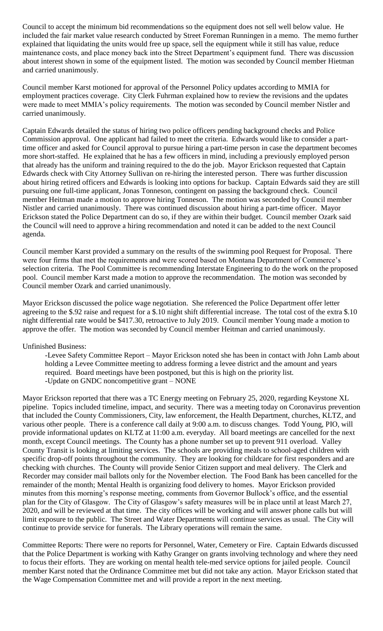Council to accept the minimum bid recommendations so the equipment does not sell well below value. He included the fair market value research conducted by Street Foreman Runningen in a memo. The memo further explained that liquidating the units would free up space, sell the equipment while it still has value, reduce maintenance costs, and place money back into the Street Department's equipment fund. There was discussion about interest shown in some of the equipment listed. The motion was seconded by Council member Hietman and carried unanimously.

Council member Karst motioned for approval of the Personnel Policy updates according to MMIA for employment practices coverage. City Clerk Fuhrman explained how to review the revisions and the updates were made to meet MMIA's policy requirements. The motion was seconded by Council member Nistler and carried unanimously.

Captain Edwards detailed the status of hiring two police officers pending background checks and Police Commission approval. One applicant had failed to meet the criteria. Edwards would like to consider a parttime officer and asked for Council approval to pursue hiring a part-time person in case the department becomes more short-staffed. He explained that he has a few officers in mind, including a previously employed person that already has the uniform and training required to the do the job. Mayor Erickson requested that Captain Edwards check with City Attorney Sullivan on re-hiring the interested person. There was further discussion about hiring retired officers and Edwards is looking into options for backup. Captain Edwards said they are still pursuing one full-time applicant, Jonas Tonneson, contingent on passing the background check. Council member Heitman made a motion to approve hiring Tonneson. The motion was seconded by Council member Nistler and carried unanimously. There was continued discussion about hiring a part-time officer. Mayor Erickson stated the Police Department can do so, if they are within their budget. Council member Ozark said the Council will need to approve a hiring recommendation and noted it can be added to the next Council agenda.

Council member Karst provided a summary on the results of the swimming pool Request for Proposal. There were four firms that met the requirements and were scored based on Montana Department of Commerce's selection criteria. The Pool Committee is recommending Interstate Engineering to do the work on the proposed pool. Council member Karst made a motion to approve the recommendation. The motion was seconded by Council member Ozark and carried unanimously.

Mayor Erickson discussed the police wage negotiation. She referenced the Police Department offer letter agreeing to the \$.92 raise and request for a \$.10 night shift differential increase. The total cost of the extra \$.10 night differential rate would be \$417.30, retroactive to July 2019. Council member Young made a motion to approve the offer. The motion was seconded by Council member Heitman and carried unanimously.

## Unfinished Business:

-Levee Safety Committee Report – Mayor Erickson noted she has been in contact with John Lamb about holding a Levee Committee meeting to address forming a levee district and the amount and years required. Board meetings have been postponed, but this is high on the priority list. -Update on GNDC noncompetitive grant – NONE

Mayor Erickson reported that there was a TC Energy meeting on February 25, 2020, regarding Keystone XL pipeline. Topics included timeline, impact, and security. There was a meeting today on Coronavirus prevention that included the County Commissioners, City, law enforcement, the Health Department, churches, KLTZ, and various other people. There is a conference call daily at 9:00 a.m. to discuss changes. Todd Young, PIO, will provide informational updates on KLTZ at 11:00 a.m. everyday. All board meetings are cancelled for the next month, except Council meetings. The County has a phone number set up to prevent 911 overload. Valley County Transit is looking at limiting services. The schools are providing meals to school-aged children with specific drop-off points throughout the community. They are looking for childcare for first responders and are checking with churches. The County will provide Senior Citizen support and meal delivery. The Clerk and Recorder may consider mail ballots only for the November election. The Food Bank has been cancelled for the remainder of the month; Mental Health is organizing food delivery to homes. Mayor Erickson provided minutes from this morning's response meeting, comments from Governor Bullock's office, and the essential plan for the City of Glasgow. The City of Glasgow's safety measures will be in place until at least March 27, 2020, and will be reviewed at that time. The city offices will be working and will answer phone calls but will limit exposure to the public. The Street and Water Departments will continue services as usual. The City will continue to provide service for funerals. The Library operations will remain the same.

Committee Reports: There were no reports for Personnel, Water, Cemetery or Fire. Captain Edwards discussed that the Police Department is working with Kathy Granger on grants involving technology and where they need to focus their efforts. They are working on mental health tele-med service options for jailed people. Council member Karst noted that the Ordinance Committee met but did not take any action. Mayor Erickson stated that the Wage Compensation Committee met and will provide a report in the next meeting.